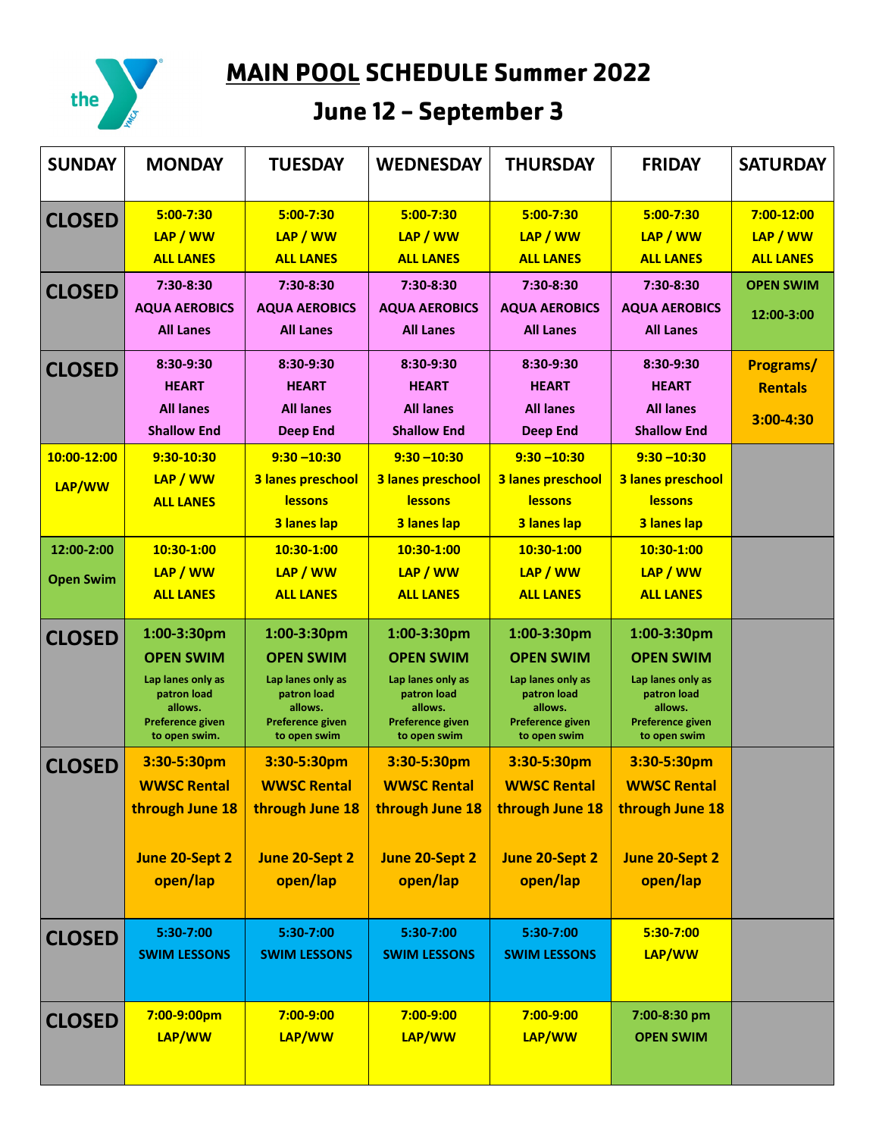

**MAIN POOL SCHEDULE Summer 2022** 

## June 12 - September 3

| <b>SUNDAY</b>                  | <b>MONDAY</b>                                                                                                       | <b>TUESDAY</b>                                                                                                            | <b>WEDNESDAY</b>                                                                                                   | <b>THURSDAY</b>                                                                                                    | <b>FRIDAY</b>                                                                                                      | <b>SATURDAY</b>                            |
|--------------------------------|---------------------------------------------------------------------------------------------------------------------|---------------------------------------------------------------------------------------------------------------------------|--------------------------------------------------------------------------------------------------------------------|--------------------------------------------------------------------------------------------------------------------|--------------------------------------------------------------------------------------------------------------------|--------------------------------------------|
| <b>CLOSED</b>                  | $5:00 - 7:30$<br>LAP / WW<br><b>ALL LANES</b>                                                                       | $5:00 - 7:30$<br>LAP / WW<br><b>ALL LANES</b>                                                                             | $5:00 - 7:30$<br>LAP / WW<br><b>ALL LANES</b>                                                                      | $5:00 - 7:30$<br>LAP / WW<br><b>ALL LANES</b>                                                                      | $5:00 - 7:30$<br>LAP / WW<br><b>ALL LANES</b>                                                                      | 7:00-12:00<br>LAP / WW<br><b>ALL LANES</b> |
| <b>CLOSED</b>                  | 7:30-8:30<br><b>AQUA AEROBICS</b><br><b>All Lanes</b>                                                               | 7:30-8:30<br><b>AQUA AEROBICS</b><br><b>All Lanes</b>                                                                     | 7:30-8:30<br><b>AQUA AEROBICS</b><br><b>All Lanes</b>                                                              | 7:30-8:30<br><b>AQUA AEROBICS</b><br><b>All Lanes</b>                                                              | 7:30-8:30<br><b>AQUA AEROBICS</b><br><b>All Lanes</b>                                                              | <b>OPEN SWIM</b><br>12:00-3:00             |
| <b>CLOSED</b>                  | 8:30-9:30<br><b>HEART</b><br><b>All lanes</b><br><b>Shallow End</b>                                                 | 8:30-9:30<br><b>HEART</b><br><b>All lanes</b><br><b>Deep End</b>                                                          | 8:30-9:30<br><b>HEART</b><br><b>All lanes</b><br><b>Shallow End</b>                                                | 8:30-9:30<br><b>HEART</b><br><b>All lanes</b><br><b>Deep End</b>                                                   | 8:30-9:30<br><b>HEART</b><br><b>All lanes</b><br><b>Shallow End</b>                                                | Programs/<br><b>Rentals</b><br>3:00-4:30   |
| 10:00-12:00<br>LAP/WW          | 9:30-10:30<br>LAP / WW<br><b>ALL LANES</b>                                                                          | $9:30 - 10:30$<br>3 lanes preschool<br><b>lessons</b><br>3 lanes lap                                                      | $9:30 - 10:30$<br>3 lanes preschool<br><b>lessons</b><br>3 lanes lap                                               | $9:30 - 10:30$<br>3 lanes preschool<br><b>lessons</b><br>3 lanes lap                                               | $9:30 - 10:30$<br>3 lanes preschool<br>lessons<br>3 lanes lap                                                      |                                            |
| 12:00-2:00<br><b>Open Swim</b> | 10:30-1:00<br>LAP / WW<br><b>ALL LANES</b>                                                                          | 10:30-1:00<br>LAP / WW<br><b>ALL LANES</b>                                                                                | 10:30-1:00<br>LAP / WW<br><b>ALL LANES</b>                                                                         | 10:30-1:00<br>LAP / WW<br><b>ALL LANES</b>                                                                         | 10:30-1:00<br>LAP / WW<br><b>ALL LANES</b>                                                                         |                                            |
| <b>CLOSED</b>                  | 1:00-3:30pm<br><b>OPEN SWIM</b><br>Lap lanes only as<br>patron load<br>allows.<br>Preference given<br>to open swim. | 1:00-3:30pm<br><b>OPEN SWIM</b><br>Lap lanes only as<br>patron load<br>allows.<br><b>Preference given</b><br>to open swim | 1:00-3:30pm<br><b>OPEN SWIM</b><br>Lap lanes only as<br>patron load<br>allows.<br>Preference given<br>to open swim | 1:00-3:30pm<br><b>OPEN SWIM</b><br>Lap lanes only as<br>patron load<br>allows.<br>Preference given<br>to open swim | 1:00-3:30pm<br><b>OPEN SWIM</b><br>Lap lanes only as<br>patron load<br>allows.<br>Preference given<br>to open swim |                                            |
| <b>CLOSED</b>                  | 3:30-5:30pm<br><b>WWSC Rental</b><br>through June 18<br>June 20-Sept 2<br>open/lap                                  | 3:30-5:30pm<br><b>WWSC Rental</b><br>through June 18<br>June 20-Sept 2<br>open/lap                                        | 3:30-5:30pm<br><b>WWSC Rental</b><br>through June 18<br>June 20-Sept 2<br>open/lap                                 | 3:30-5:30pm<br><b>WWSC Rental</b><br>through June 18<br>June 20-Sept 2<br>open/lap                                 | 3:30-5:30pm<br><b>WWSC Rental</b><br>through June 18<br>June 20-Sept 2<br>open/lap                                 |                                            |
| <b>CLOSED</b>                  | 5:30-7:00<br><b>SWIM LESSONS</b>                                                                                    | 5:30-7:00<br><b>SWIM LESSONS</b>                                                                                          | 5:30-7:00<br><b>SWIM LESSONS</b>                                                                                   | 5:30-7:00<br><b>SWIM LESSONS</b>                                                                                   | 5:30-7:00<br>LAP/WW                                                                                                |                                            |
| <b>CLOSED</b>                  | 7:00-9:00pm<br>LAP/WW                                                                                               | 7:00-9:00<br>LAP/WW                                                                                                       | 7:00-9:00<br>LAP/WW                                                                                                | 7:00-9:00<br>LAP/WW                                                                                                | 7:00-8:30 pm<br><b>OPEN SWIM</b>                                                                                   |                                            |